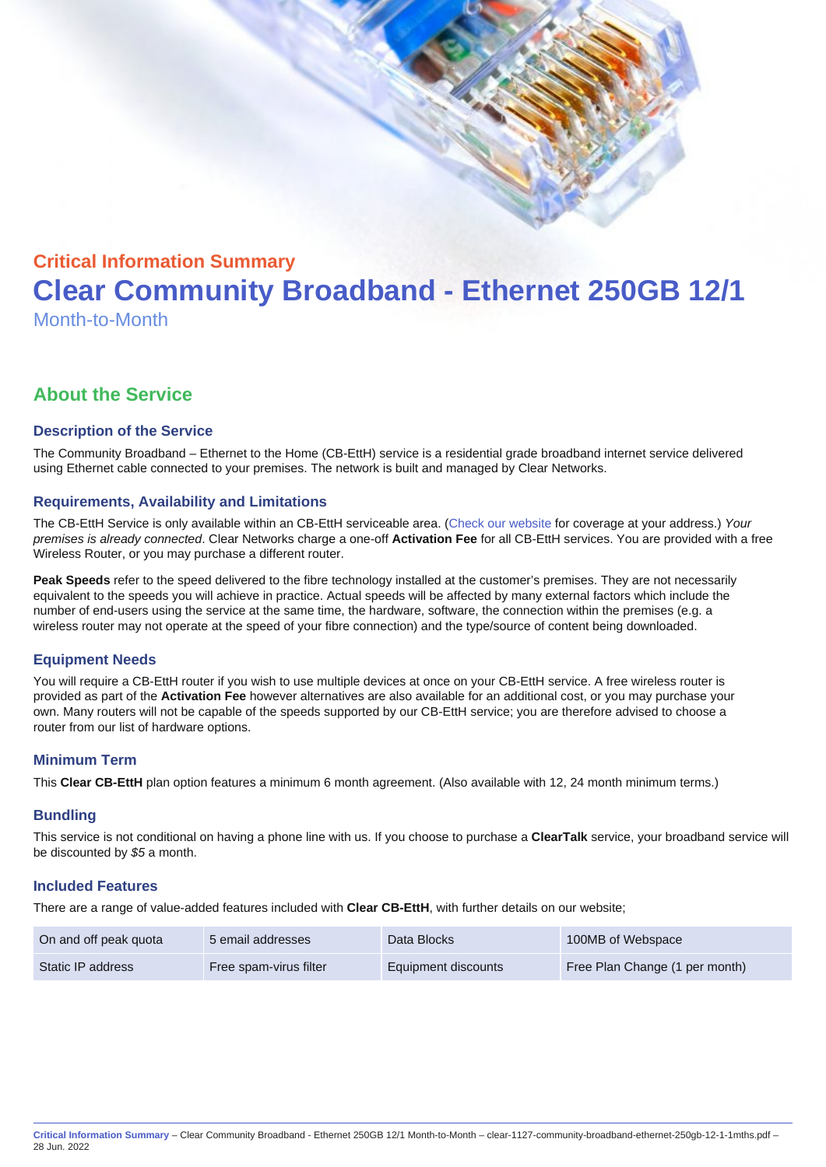# Critical Information Summary Clear Community Broadband - Ethernet 250GB 12/1 Month-to-Month

# About the Service

# Description of the Service

The Community Broadband – Ethernet to the Home (CB-EttH) service is a residential grade broadband internet service delivered using Ethernet cable connected to your premises. The network is built and managed by Clear Networks.

# Requirements, Availability and Limitations

The CB-EttH Service is only available within an CB-EttH serviceable area. ([Check our website](https://www.clear.com.au/residential/community-broadband/) for coverage at your address.) Your premises is already connected. Clear Networks charge a one-off Activation Fee for all CB-EttH services. You are provided with a free Wireless Router, or you may purchase a different router.

Peak Speeds refer to the speed delivered to the fibre technology installed at the customer's premises. They are not necessarily equivalent to the speeds you will achieve in practice. Actual speeds will be affected by many external factors which include the number of end-users using the service at the same time, the hardware, software, the connection within the premises (e.g. a wireless router may not operate at the speed of your fibre connection) and the type/source of content being downloaded.

#### Equipment Needs

You will require a CB-EttH router if you wish to use multiple devices at once on your CB-EttH service. A free wireless router is provided as part of the Activation Fee however alternatives are also available for an additional cost, or you may purchase your own. Many routers will not be capable of the speeds supported by our CB-EttH service; you are therefore advised to choose a router from our list of hardware options.

#### Minimum Term

This Clear CB-EttH plan option features a minimum 6 month agreement. (Also available with 12, 24 month minimum terms.)

#### **Bundling**

This service is not conditional on having a phone line with us. If you choose to purchase a ClearTalk service, your broadband service will be discounted by \$5 a month.

#### Included Features

There are a range of value-added features included with Clear CB-EttH , with further details on our website;

| On and off peak quota | 5 email addresses      | Data Blocks         | 100MB of Webspace              |
|-----------------------|------------------------|---------------------|--------------------------------|
| Static IP address     | Free spam-virus filter | Equipment discounts | Free Plan Change (1 per month) |